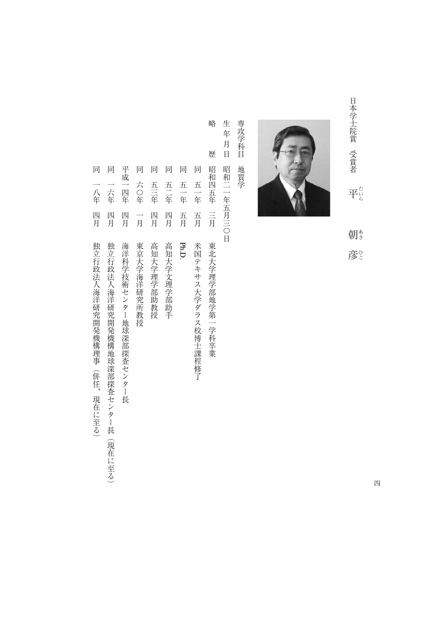日本学士院賞 受賞者 日本学士院賞受賞者平朝彦 平 $\stackrel{\kappa}{\mathbb{F}}^{\scriptscriptstyle{\kappa}}_{\scriptscriptstyle{\delta}}$ たいらあさひこ 朝き

彦



専攻学科目 専攻学科目地質学 地質学

生年月日 生年月日昭和二一年五月三〇日 昭和二一年五月三〇日

略

- 略歴昭和四五年三月東北大学理学部地学第一学科卒業 歴 昭和四五年  $\equiv \overline{H}$ 東北大学理学部地学第一学科卒業
- 一年二月米国テキサス大学 しゅうしゅう こうしゅう こうしゅう こうしゅう こうしゅう こうしゅう こうしゅう こうしゅう こうしゅう こうしゅう こうしゅう こうしゅう こうしゅう こうしゅう こうしゅう こうしゅう こうしゅう 五一年 五月 米国テキサス大学ダラス校博士課程修了
- 同五一年五月五一年 五月 Ph.D.
- 同五二年四月高知大学文理学部助手 五三年 四月 高知大学文理学部助手
- 一年一年一年一年一年十月青年 第一章 一年十月青年 第一章 一年十月青年 第二章 三月青年 第二章 三月青年 第二章 三月青年 第二章 三月青年 第二章 三月青年 第二章 三月青年 第二章 三月青年 第二章 三月青年 第二章 三月青年 第二章 三月青年 第二章 三月青年 第二章 三月青年 第二章 三月青年 第二章 三月青年 第二章 三月青年 第二章 三月青年 第二章 三月青年 第二章 三月青年 第二章 三月青年 第二章 三月青年 第二章 五三年 四月 高知大学理学部助教授
- 『日本大学の研究所教授』 『日本大学の研究所教授』 『日本大学』 『日本大学』 『日本大学』 『日本大学』 『日本大学』 『日本大学』 『日本大学』 『日本大学』 『日本大学』 『日本大学』 『日本大学』 『日本大学』 『日本大学』 『日本大学』 『日本大学』 『日本大学』 『日本大学』 『日本大学』 『日本大学』 『日本大学』 『日本大学』 『日本大学』 『日本大学』 『日本大学』 『日本大学』 『日本大学』 『日本大学』 『日本大学 六〇年 一月 東京大学海洋研究所教授

同 同 同 同 同

- 平成一四年 平成一四年四月海洋科学技術センター地球深部探査センター長 四月
- 同一千年四月の1992年には、1992年には、1992年には、1992年には、1992年には、1992年には、1992年には、1992年には、1992年には、1992年には、1992年には、1992年には、1992年には<br>1992年には、1993年には、1993年には、1993年には、1993年には、1993年には、1993年には、1993年には、1993年には、1993年には、1993年には、1993年には、1993年には、1993 一六年 四月
- 同一八年四月独立行政法人海洋研究開発機構理事(併任、現在に至る) 一八年 四月 独立行政法人海洋研究開発機構理事(併任、現在に至る)

同 同

- 
- -
- - 独立行政法人海洋研究開発機構地球深部探査センター長 (現在に至る)
- -
- 
- 
- 
- 海洋科学技術センター地球深部探査センター長
-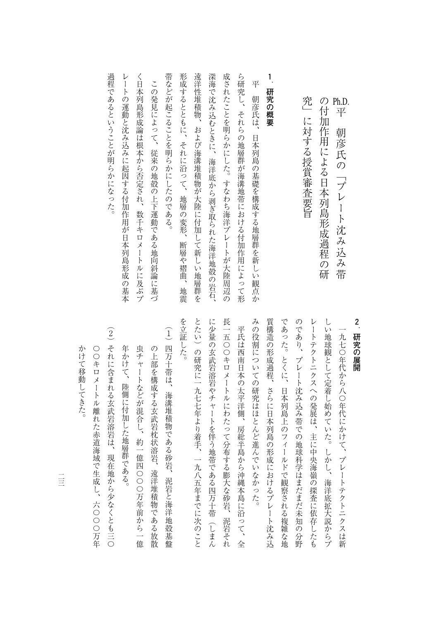| く日本列島形成論は根本から否定され、<br>帯などが起こることを明らかにしたのである。<br>遠洋性堆積物、<br>成されたことを明らかにした。すなわち海洋プレートが大陸周辺の<br>深海で沈み込むときに、<br>ら研究し、<br>形成するとともに、それに沿って、<br>1<br>平<br>この発見によって、<br>研究の概要<br>朝彦氏は、<br>それらの地層群が海溝地帯における付加作用によって形<br>および海溝堆積物が大陸に付加して新しい地層群を<br>日本列島の基礎を構成する地層群を新しい観点か<br>従来の地殻の上下運動である地向斜論に基づ<br>海洋底から剥ぎ取られた海洋地殻の岩石、<br>地層の変形、<br>数千キロメートルに及ぶプ<br>断層や褶曲<br>地震 |
|---------------------------------------------------------------------------------------------------------------------------------------------------------------------------------------------------------------------------------------------------------------------------------------------------------------------------------------------------------|
|---------------------------------------------------------------------------------------------------------------------------------------------------------------------------------------------------------------------------------------------------------------------------------------------------------------------------------------------------------|

過程であるということが明らかになった。

■ コンピュータ のうじょう こくしゅう こくしゅう こくしゅう こくしゅう こくしゅう こくしゅう こくしゅう こくしゅう こくしゅう こくしゅう こくしゅう こくしゅう こくしゅう こくしゅう こくしゅう こくしゅう

**2**-**アメリカントランス** 

の付加作用による日本列島形成過程の研��平 朝彦氏の「プレート沈み込み帯 平和学 マント・コンピュータ こうしょう

の作品 こうしゅうしょ こうしゅうしょう こうしゅうしゅ あいしゅう しゅうしゅう こうしゅう こうしゅう こうしゅう こうしゅう こうしゅうしゅ

 $\blacksquare$ 

究」に対する授賞審査要旨

であった。とくに、日本列島上のフィールドで観察される複雑な地 みの役割についての研究はほとんど進んでいなかった。 質構造の形成過程、さらに日本列島の形成におけるプレート沈み込 のであり、プレート沈み込み帯での地球科学はまだまだ未知の分野 レートテクトニクスへの発展は、主に中央海嶺の探査に依存したも しい地球観として定着し始めていた。しかし、海洋底拡大説からプ みつな こうしょう こうしょう こうしょう こうしょう こうしょう こうしょう こうしょう こうしょう こうしょう こうしょう こうしょう こうしょう の場所には、この場所には、日本列島の形成の場所には、日本列島の形成におけるプレートにおけるプレートにおけるプレートにおけるプレートにおけるプレートにおけるプレートにおけるプレートにおけるプレートにおけ であった。とくに、日本列島上のフィールドでは、日本列島上のフィールドでは、日本列島上のフィールドでは、日本列島上のフィールドでは、日本列島上のフィールドでは、日本列島上のプログラムを地域である。 のであり、プレートなど、プレートなど、プレートなどをおとる こうしゅう こうしゅう こうしゅう こうしゅう こうしゅう こうしゅう こうしゅう こうしゅう こうしゅう こうしゅう レートテクトニクスへの発展は、主に中央海嶺の探査に依存したも しい地球観として定着し始めていた。しかし、海洋底拡大説からプ 一九七〇年代から八〇年代にかけて、プレートテクトニクスは新 一九七〇年代から八〇年代から八〇年代から八〇年代から八〇年代から八〇年代から八〇年代から八〇年代から八〇年代から八〇年代から八〇年代から八〇年代から八〇年代から八〇年代から八〇年代から八〇年代から八〇

を立証した。 とたい)の研究に一九七七年より着手、一九八五年までに次のこと に少量の玄武岩溶岩やチャートを伴う地帯である四万十帯(しまん 長一五〇〇キロメートルにわたって分布する膨大な砂岩、泥岩それ を立証した。 とたい)の研究に一九七七年より着手、一九八五年までに次のこと について しゅうしゅう こうしゅうしゅ あいしゅう しゅうしゅう しゅうしゅう しゅうしゅう しゅうしゅう しゅうしゅうしゅ 大きなので、そのようなどのあたって分布する物質がある。 平氏は西南日本の太平洋側、房総半島から沖縄本島に沿って、全 平氏は西南日本の太平洋側に沿って、全国の太平洋側に沿って、全国の太平洋側に沿って、全国の太平洋側に沿って、全国の太平洋側に沿って、全国の太平洋側に沿って、全国の太平洋側に沿って、全国の太平洋側に沿って

- (1) 四万十帯は、海溝堆積物である砂岩、泥岩と海洋地殻基盤 (1)四万十帯は、海溝堆積物である砂岩、泥岩と海洋地殻基盤 虫チャートなどが混合し、約一億四〇〇〇万年前から一億 年かけて、陸側に付加した地層群である。 の上部を構成する玄武岩枕状溶岩、遠洋堆積物である放散 年かけて、陸側に付加した地層群である。 虫チャートなどが混合し、約一億四〇〇〇万年前から一億 この上部を構成する おおとこ かいしゅう かいしゅう こうしゅう こうしゅう こうしゅう こうしゅう こうしゅう こうしゅう こうしゅう こうしゅう こうしゅう こうしゅう
- (2) それに含まれる玄武岩溶岩は、現在地から少なくとも三〇 (2)とも三つでは、現在地から少なくとも三つでは、現在地から少なくとも三つでは、現在地から少なくとも三つでは、現在地から少なくとも三つでは、現在地から少なくとも三〇の かけて移動してきた。 ○○キロメートル離れた赤道海域で生成し、六○○○万年 〇〇キロメートル あいきょう こうしゅう こうしゅう こうしょう こうしゅう こうしゅう こうしゅう こうしゃ こうしゃ こうしゃ こうしゃ こうしゃ こうしゃ こうしゃ

かけで ちょうしょう しゅうしょう しゅうしょう しゅうしゅう しゅうしゅう しゅうしゅう しゅうしゅう しゅうしゅう しゅうしゅう しゅうしゅう しゅうしゅう しゅうしゅうしゅう しゅうしゅうしゃ

 $\begin{array}{c}\n\phantom{0}1 \\
\phantom{0}1\n\end{array}$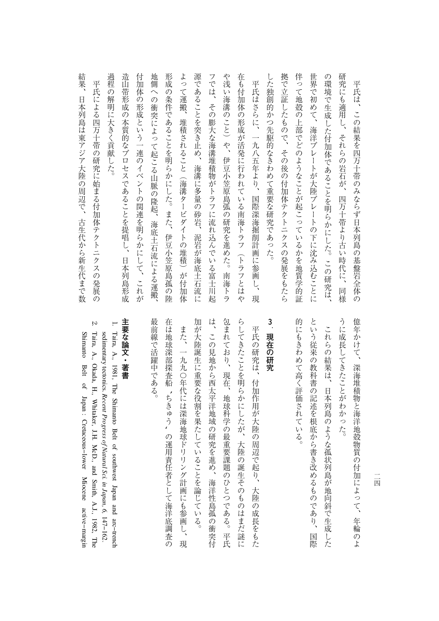| 吉畏、 日本刊島ま東アジア 大坴の哥辺で、 与上弋か.っ折上弋まで汝                                  |
|---------------------------------------------------------------------|
| 平氏<br>による四万十帯の研究に始まる付加体テクトニクスの発展の                                   |
| 過程<br>$\mathcal{O}$<br>解明に大きく貢献<br>じた。                              |
| 造山帯形成の本質的なプロセスであることを提唱し、<br>日本列島形成                                  |
| 付加体<br>の形成という一連のイベントの関連を明らかにして、<br>これが                              |
| 地<br>厠<br>$\hat{\phantom{0}}$<br>の<br>衝突によって起こる山脈<br>の隆起、海底土石流による運搬 |
| 形成<br>$\mathcal{O}$<br>条件であることを明らかにした。<br>また、<br>伊豆小笠原島孤の陸          |
| よっ<br>て運搬、<br>堆積されること<br>(海溝ター<br>ビダイト<br>の堆積)<br>が付加体              |
| 源<br>であることを突き止め、<br>海溝に多量<br>の砂岩、<br>泥岩が海底土石流<br>ΪĆ                 |
| フ<br>では、その膨大な海溝堆積物がトラフに流れ込んで<br>いる<br>富士川起                          |
| や浅<br>L)<br>海溝のこと)や、伊豆小笠原島弧<br>の研究を進め<br>た。<br>南海トラ                 |
| 在も付加体の形成が活発に行われている南海トラフ(トラフとはや                                      |
| 平氏はさらに、<br>一九八五年より、<br>国際深海掘削計画に参画し、<br>現                           |
| L<br>た独創的かつ先駆的なきわめて重要な研究であった。                                       |
| 拠で立証したもので、その後の付加体テクトニクスの発展をもたら                                      |
| 伴って地殻の上部でどのようなことが起こっているかを地質学的証                                      |
| 世界で<br>初めて、<br>海洋プレートが大陸プレートの下に沈み込むことに                              |
| の環境で生成した付加体であることを明らかにした。<br>この研究は、                                  |
| 研究にも適用し、それらの岩石が、<br>四万十帯より古い時代に、<br>同様                              |
| 平氏は、この結果を四万十帯のみならず日本列島の基盤岩全体の                                       |

約身 大陸の日本アジア大陸の周辺で、日本アジア大陸の周辺で、日本リングの日本アジア大陸の周辺で、日本リングの日本アジア大陸の周辺で、日本リングの日本アジア大陸の周辺で、日本リングの日本アジア大陸の周辺で、日 平氏による四万十帯の研究に始まる付加体テクトニクスの発展の **Eオ歹 しょすう シラナ 陸の 足 辺 て** 世生什カら親生什  $\sim$  6 a  $\sim$ 数  $\mathcal{O}$ 

> うに成長してきたことがわかった。 億年かけて、深海堆積物と海洋地殻物質の付加によって、年輪のよ これらの結果は、日本列島のような孤状列島が地向斜で生成した うに成長してきたことがわかった。 億年かけて、深海堆積物と海洋地殻物質の付加によって、年輪のよ これらの結果は、日本列島のような精神のような精神のような精神のような精神のような精神のような精神のような精神のような精神のような精神のような精神のような精神のような精神のような精神の

という従来の教科書の記述を根底から書き改めるものであり、 的にもきわめて高く評価されている。 的にもきわめて高く評価されている。 という読み おおおお ありあり おおおお おおおお おおおお おおおお あり あり ありあり ありあり ありあり ありあり ありあり ありあり ありあり ありあり 国際

## **3**-**アメリカンストラント**

加が大陸誕生に重要な役割を果たしていることを論じている。 は、この見地から西太平洋地域の研究を進め、海洋性島孤の衝突付 包まれており、現在、地球科学の最重要課題のひとつである。平氏 らしてきたことを明らかにしたが、大陸の誕生そのものはまだ謎に 加が大陸誕生に重要な役割を果たしていることを論じている。 さいは、このは、このは、この見地が海洋性島には、海洋性島には海洋性島には海洋性島には海洋性島には海洋性島には海洋性島には海洋性島には海洋性島には海洋性島には海洋性島には海洋性島には海洋性島には海洋性島 しては、その他の人は、地球科学の場合をある。平氏は、地球科学の場合がある。平氏は、地球科学の場合がある。平氏は、地球科学の場合がある。平氏は、地球科学の場合がある。平民は、地球科学の場合がある。平民は らしてきたことを明らかにしたが、大陸の戦争を明らかにしたが、大陸の戦争を明らかにしたが、大陸の戦争を明らかにしたが、大陸の戦争を明らかにしたが、大陸の戦争を明らかにしたが、大陸の戦争を明らかにしたが、 平氏の研究は、付加作用が大陸の周辺で起り、大陸の成長をもた 平氏の研究は、中国の成長をもたして、その地域の原因が大陸の成長をもたし、大陸の成長をもたしている。

最前線で活躍中である。 には、 はいしゃ はんじゅう しゅうしょう しゅうしゅう かんきょう しゅうしゅう かんきょう かんきょう かんしゅう かんしゅう かんしゅう かんしゅう かんしゅう かんしゅう かんしゅう かんしゅう かんしゅう かんしゅう 在は地球深部探査船また、一九九〇年代には深海地球ドリリング計画にも参画し、 また、「一九八〇年代の「一九八〇年代の「一九八〇年代の「一九八〇年代の「一九八〇年代の「一九八〇年代の「一九八〇年代の「一九八〇年代の「一九八〇年代の「一九八〇年代の「一九八〇年代の「一九八〇年代の「  $\mathcal{L}$  $\overline{\mathcal{L}}$ の運用者として海洋系調査の運用者として海洋系調査の運用者として海洋系調査の運用者として海洋系調査の運用者として海洋系調査の運用者として海洋系調査の運用者として海洋系調査の運用者として海洋系調査の運用者 現

## 主要な論文・著書 **主要な論文・著書**

1.

- sedime Taira, A., 1981, The Shimanto Belt of southwest Japan and arc−trench ntary tectonics. *Recent Progress of Natural Sci. in Japan, 6,* 147−162.
- 2. Shimanto Belt of Japan : Cretaceous−lower Mioceneactive−margin Taira, A., Okada, H., Whitaker, J.H. McD., and Smith, A.J., 1982,The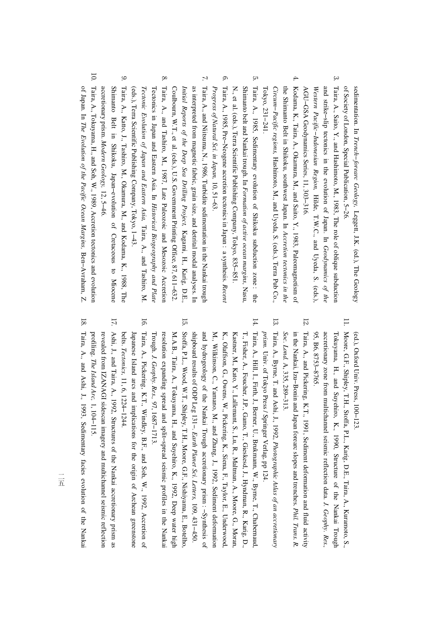sedimentation. In *Trench−forearc Geology,* Leggett, J.K. (ed.), The Geology of Society of London, Special Publication,5−26.

- $\omega$ and strike−slip tectonics in the evolution of Japan. In Taira, A., Saito, Y., and Hashimoto, M., 1983, The role of oblique subduction *Geodynamics of the Western Pacific−Indonesian Region,* Hilde, T.W.C., and Uyeda, S. (eds.), AGU−GSAGeodynamicsSeries, 11, 303−316.
- 4. th e Kodama, K., Taira, A., Okamura, M., and Saito, Y., 1983, Paleomagnetism<u>ຊ</u> Shimanto Belt in Shikoku, southwest Japan. In *Accretiontectonics in the Circum−Pacific regions,* Hashimoto, M., and Uyeda, S. (eds.), Terraም<br>ድ Co., Tokyo, 231−241.
- <u>сл</u> Shimanto belt and Nankai trough. In Taira, A., 1985, Sedimentary evolution of Shikoku subduction zone : the *Formation of active ocean margins,* Nasu, N., et al. (eds.), Terra Scientific**Publishing**  Company, Tokyo, 835−851.
- 6. Taira, A., 1985, Pre−Neogeneaccretion tectonics in Japan : a synthesis. *Recent Progress of Natural Sci. in Japan,* 10, 51−63.
- $\mathcal{L}$ Taira, A., and Niitsuma, N., 1986, Turbiditesedimentationi. the Nankai trough *Initial Reports of the Deep Sea Drilling Project,* as interpreted from magnetic fabric, grain size, and detrital modal analyses. In Kagami, H., Karig, D.E., Coulbourn, W.T., et al. (eds.), U.S. Government Printing Office, 87, 611−632.
- 8. Tectonicsin, Japan and Eastern Asia. In Taira, A., and Tashiro,M., 1987, Late Paleozoic and Mesozoic Accretion *Historical Biogeography and Plate Tectonic Evolution of Japan and Eastern Asia,* Taira, A., and Tashiro, M. (eds.), Terra Scientific Publishing Company,Tokyo, 1−43.
- 9. accretionary prism. Shimanto Belt in Shikoku, Japan−evolution of Cretaceous $\overline{\sigma}$  Miocene Taira, A., Katto, J., Tashiro, M., Okamura, M., and Kodama, K., 1988, The *Modern Geology,* 12, 5−46.
- 10. ቧ Japan. In Taira, A., Tokuyama, H., and Soh, W., 1989, Accretion tectonics and evolution *The Evolution of the Pacific Ocean Margins,* Ben−Avraham,Z.

(ed.), Oxford Univ. Press, 100−123.

- 11. Moore, G.F., Shipley, T.H., Stoffa,P.L., Karig, D.E., Taira, A., Kuramoto, S., accretionary zone fro mTokuyama, H., and Suyehiro, K., 1990, Structure of the Nankai Trough multichannel seismic reflection data. *J. Geophy. Res.,* 95, B6, 8753−8765.
- 12. in the Nankai, Izu−B Taira, A., and Pickering, K.T., 1991, Sediment deformation and fluid activity onin and Japan forearc slopes and trenches. *Phil. Trans. R. Soc. Lond.* A, 335, 289−313.
- 13. Taira, A., Byrne, T. and Ashi, J., 1992, *Photographic Atlas of an accretionary prism.* Univ. of Tokyo Press / Springer Verlag,pp 124.
- 14. M. ,K., Olaffson, G., Owens,≶. Pickering, K., Siena, F., Taylor, E., Underwood, Kastner, M., Kato, $\breve{\mathbf{r}}$  Lallemant, $S_i$  Lu, R., Maltman, A., Moore, G., Moran, T., Fisher, A., Foucher, J.P., Gamo, T., Gieskesd, J., Hyndman, R., Karig, D., Taira, A., Hill,**.,**  Firth, J., Berner, $\Xi$  Brukmann,≶. Byrne,**ب**  Chabernaud, Wilkinson, C., Yamano, M., and Zhang, J., 1992, Sediment deformation and hydrogeology of the Nankai Trough accretionary prism : −Synthesis of shipboard results of ODP Leg 131−. *Earth Planet Sci. Letters,* 109,431−450.
- 15. M. Stoffa, P.L., Wood,W.T., Shipley, T.H.,Moore, G.F., Nishiyama, E., Botelho, A.B., Taira, A., Tokuyama, H., and Suyehiro, K., 1992, Deep water high resolution expanding spread and split−spread seismic profilesi. the Nankai Trough. *J. Geophy. Res.,* 97, 1687−1713.
- 16. Japa Taira, A., Pickering, K.T., Windley, B.F., and Soh, W., 1992, Accretion of nese Island arcs and implications for the origin $\overline{a}$  Archean greenstone belts. *Tectonics,* 11, 6, 1224−1244.
- 17. Ashi, J., and Taira, A., 1992, Structures q the Nankai accretionary prism as revealed from IZANAGI sidescan imagery and multichannel seismic reflection profiling. *The Island Arc,* 1, 104−115.
- 18. Taira, A., and Ashi, J., 1993, Sedimentary facies evolution of theNankai